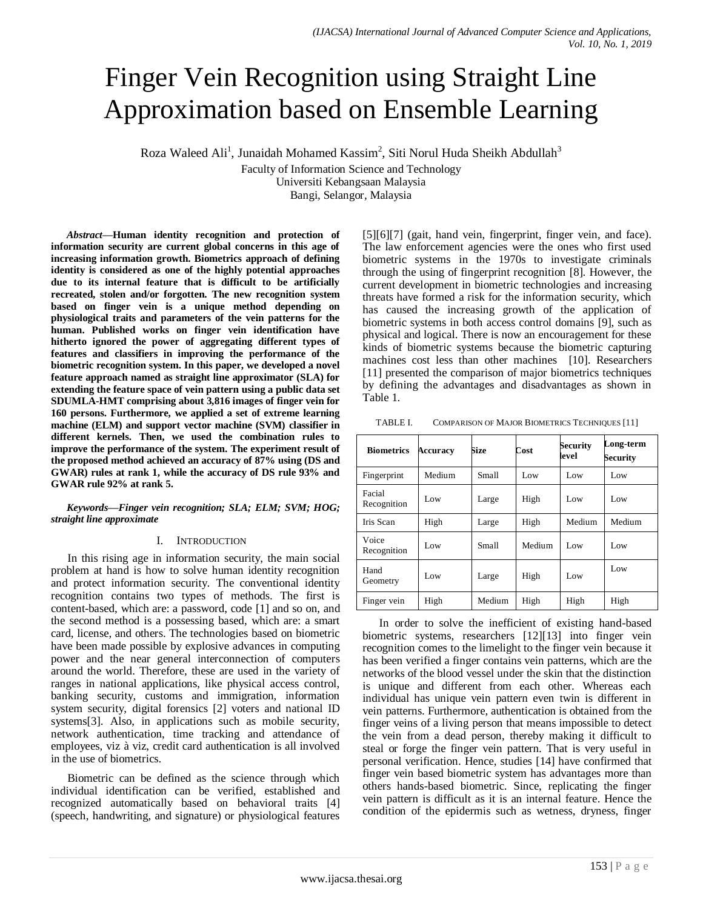# Finger Vein Recognition using Straight Line Approximation based on Ensemble Learning

Roza Waleed Ali<sup>1</sup>, Junaidah Mohamed Kassim<sup>2</sup>, Siti Norul Huda Sheikh Abdullah<sup>3</sup>

Faculty of Information Science and Technology

Universiti Kebangsaan Malaysia

Bangi, Selangor, Malaysia

*Abstract***—Human identity recognition and protection of information security are current global concerns in this age of increasing information growth. Biometrics approach of defining identity is considered as one of the highly potential approaches due to its internal feature that is difficult to be artificially recreated, stolen and/or forgotten. The new recognition system based on finger vein is a unique method depending on physiological traits and parameters of the vein patterns for the human. Published works on finger vein identification have hitherto ignored the power of aggregating different types of features and classifiers in improving the performance of the biometric recognition system. In this paper, we developed a novel feature approach named as straight line approximator (SLA) for extending the feature space of vein pattern using a public data set SDUMLA-HMT comprising about 3,816 images of finger vein for 160 persons. Furthermore, we applied a set of extreme learning machine (ELM) and support vector machine (SVM) classifier in different kernels. Then, we used the combination rules to improve the performance of the system. The experiment result of the proposed method achieved an accuracy of 87% using (DS and GWAR) rules at rank 1, while the accuracy of DS rule 93% and GWAR rule 92% at rank 5.**

### *Keywords—Finger vein recognition; SLA; ELM; SVM; HOG; straight line approximate*

#### I. INTRODUCTION

In this rising age in information security, the main social problem at hand is how to solve human identity recognition and protect information security. The conventional identity recognition contains two types of methods. The first is content-based, which are: a password, code [1] and so on, and the second method is a possessing based, which are: a smart card, license, and others. The technologies based on biometric have been made possible by explosive advances in computing power and the near general interconnection of computers around the world. Therefore, these are used in the variety of ranges in national applications, like physical access control, banking security, customs and immigration, information system security, digital forensics [2] voters and national ID systems<sup>[3]</sup>. Also, in applications such as mobile security, network authentication, time tracking and attendance of employees, viz à viz, credit card authentication is all involved in the use of biometrics.

Biometric can be defined as the science through which individual identification can be verified, established and recognized automatically based on behavioral traits [4] (speech, handwriting, and signature) or physiological features [5][6][7] (gait, hand vein, fingerprint, finger vein, and face). The law enforcement agencies were the ones who first used biometric systems in the 1970s to investigate criminals through the using of fingerprint recognition [8]. However, the current development in biometric technologies and increasing threats have formed a risk for the information security, which has caused the increasing growth of the application of biometric systems in both access control domains [9], such as physical and logical. There is now an encouragement for these kinds of biometric systems because the biometric capturing machines cost less than other machines [10]. Researchers [11] presented the comparison of major biometrics techniques by defining the advantages and disadvantages as shown in Table 1.

TABLE I. COMPARISON OF MAJOR BIOMETRICS TECHNIQUES [11]

| <b>Biometrics</b>     | Accuracy | Size   | Cost   | Security<br>level | Long-term<br>Security |
|-----------------------|----------|--------|--------|-------------------|-----------------------|
| Fingerprint           | Medium   | Small  | Low    | Low               | Low                   |
| Facial<br>Recognition | Low.     | Large  | High   | Low               | Low                   |
| Iris Scan             | High     | Large  | High   | Medium            | Medium                |
| Voice<br>Recognition  | Low      | Small  | Medium | Low               | Low                   |
| Hand<br>Geometry      | Low      | Large  | High   | Low               | Low                   |
| Finger vein           | High     | Medium | High   | High              | High                  |

In order to solve the inefficient of existing hand-based biometric systems, researchers [12][13] into finger vein recognition comes to the limelight to the finger vein because it has been verified a finger contains vein patterns, which are the networks of the blood vessel under the skin that the distinction is unique and different from each other. Whereas each individual has unique vein pattern even twin is different in vein patterns. Furthermore, authentication is obtained from the finger veins of a living person that means impossible to detect the vein from a dead person, thereby making it difficult to steal or forge the finger vein pattern. That is very useful in personal verification. Hence, studies [14] have confirmed that finger vein based biometric system has advantages more than others hands-based biometric. Since, replicating the finger vein pattern is difficult as it is an internal feature. Hence the condition of the epidermis such as wetness, dryness, finger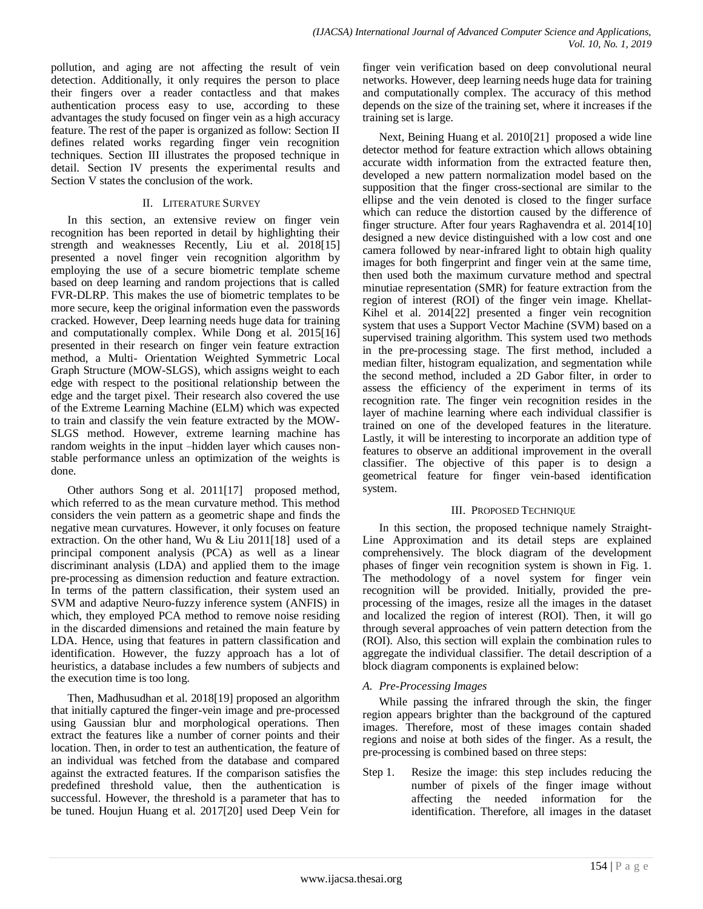pollution, and aging are not affecting the result of vein detection. Additionally, it only requires the person to place their fingers over a reader contactless and that makes authentication process easy to use, according to these advantages the study focused on finger vein as a high accuracy feature. The rest of the paper is organized as follow: Section II defines related works regarding finger vein recognition techniques. Section III illustrates the proposed technique in detail. Section IV presents the experimental results and Section V states the conclusion of the work.

#### II. LITERATURE SURVEY

In this section, an extensive review on finger vein recognition has been reported in detail by highlighting their strength and weaknesses Recently, Liu et al. 2018[15] presented a novel finger vein recognition algorithm by employing the use of a secure biometric template scheme based on deep learning and random projections that is called FVR-DLRP. This makes the use of biometric templates to be more secure, keep the original information even the passwords cracked. However, Deep learning needs huge data for training and computationally complex. While Dong et al. 2015[16] presented in their research on finger vein feature extraction method, a Multi- Orientation Weighted Symmetric Local Graph Structure (MOW-SLGS), which assigns weight to each edge with respect to the positional relationship between the edge and the target pixel. Their research also covered the use of the Extreme Learning Machine (ELM) which was expected to train and classify the vein feature extracted by the MOW-SLGS method. However, extreme learning machine has random weights in the input –hidden layer which causes nonstable performance unless an optimization of the weights is done.

Other authors Song et al. 2011[17] proposed method, which referred to as the mean curvature method. This method considers the vein pattern as a geometric shape and finds the negative mean curvatures. However, it only focuses on feature extraction. On the other hand, Wu & Liu 2011[18] used of a principal component analysis (PCA) as well as a linear discriminant analysis (LDA) and applied them to the image pre-processing as dimension reduction and feature extraction. In terms of the pattern classification, their system used an SVM and adaptive Neuro-fuzzy inference system (ANFIS) in which, they employed PCA method to remove noise residing in the discarded dimensions and retained the main feature by LDA. Hence, using that features in pattern classification and identification. However, the fuzzy approach has a lot of heuristics, a database includes a few numbers of subjects and the execution time is too long.

Then, Madhusudhan et al. 2018[19] proposed an algorithm that initially captured the finger-vein image and pre-processed using Gaussian blur and morphological operations. Then extract the features like a number of corner points and their location. Then, in order to test an authentication, the feature of an individual was fetched from the database and compared against the extracted features. If the comparison satisfies the predefined threshold value, then the authentication is successful. However, the threshold is a parameter that has to be tuned. Houjun Huang et al. 2017[20] used Deep Vein for finger vein verification based on deep convolutional neural networks. However, deep learning needs huge data for training and computationally complex. The accuracy of this method depends on the size of the training set, where it increases if the training set is large.

Next, Beining Huang et al. 2010[21] proposed a wide line detector method for feature extraction which allows obtaining accurate width information from the extracted feature then, developed a new pattern normalization model based on the supposition that the finger cross-sectional are similar to the ellipse and the vein denoted is closed to the finger surface which can reduce the distortion caused by the difference of finger structure. After four years Raghavendra et al. 2014[10] designed a new device distinguished with a low cost and one camera followed by near-infrared light to obtain high quality images for both fingerprint and finger vein at the same time, then used both the maximum curvature method and spectral minutiae representation (SMR) for feature extraction from the region of interest (ROI) of the finger vein image. Khellat-Kihel et al. 2014[22] presented a finger vein recognition system that uses a Support Vector Machine (SVM) based on a supervised training algorithm. This system used two methods in the pre-processing stage. The first method, included a median filter, histogram equalization, and segmentation while the second method, included a 2D Gabor filter, in order to assess the efficiency of the experiment in terms of its recognition rate. The finger vein recognition resides in the layer of machine learning where each individual classifier is trained on one of the developed features in the literature. Lastly, it will be interesting to incorporate an addition type of features to observe an additional improvement in the overall classifier. The objective of this paper is to design a geometrical feature for finger vein-based identification system.

# III. PROPOSED TECHNIQUE

In this section, the proposed technique namely Straight-Line Approximation and its detail steps are explained comprehensively. The block diagram of the development phases of finger vein recognition system is shown in Fig. 1. The methodology of a novel system for finger vein recognition will be provided. Initially, provided the preprocessing of the images, resize all the images in the dataset and localized the region of interest (ROI). Then, it will go through several approaches of vein pattern detection from the (ROI). Also, this section will explain the combination rules to aggregate the individual classifier. The detail description of a block diagram components is explained below:

# *A. Pre-Processing Images*

While passing the infrared through the skin, the finger region appears brighter than the background of the captured images. Therefore, most of these images contain shaded regions and noise at both sides of the finger. As a result, the pre-processing is combined based on three steps:

Step 1. Resize the image: this step includes reducing the number of pixels of the finger image without affecting the needed information for the identification. Therefore, all images in the dataset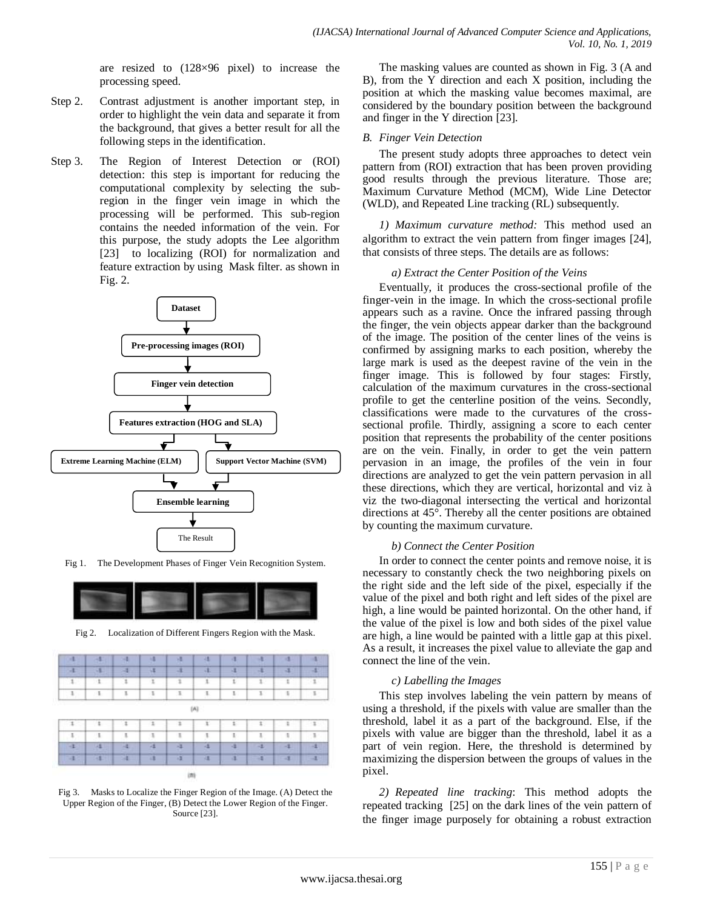are resized to (128×96 pixel) to increase the processing speed.

- Step 2. Contrast adjustment is another important step, in order to highlight the vein data and separate it from the background, that gives a better result for all the following steps in the identification.
- Step 3. The Region of Interest Detection or (ROI) detection: this step is important for reducing the computational complexity by selecting the subregion in the finger vein image in which the processing will be performed. This sub-region contains the needed information of the vein. For this purpose, the study adopts the Lee algorithm [23] to localizing (ROI) for normalization and feature extraction by using Mask filter. as shown in Fig. 2.



Fig 1. The Development Phases of Finger Vein Recognition System.



Fig 2. Localization of Different Fingers Region with the Mask.



Fig 3. Masks to Localize the Finger Region of the Image. (A) Detect the Upper Region of the Finger, (B) Detect the Lower Region of the Finger. Source [23].

The masking values are counted as shown in Fig. 3 (A and B), from the Y direction and each X position, including the position at which the masking value becomes maximal, are considered by the boundary position between the background and finger in the Y direction [23].

## *B. Finger Vein Detection*

The present study adopts three approaches to detect vein pattern from (ROI) extraction that has been proven providing good results through the previous literature. Those are; Maximum Curvature Method (MCM), Wide Line Detector (WLD), and Repeated Line tracking (RL) subsequently.

*1) Maximum curvature method:* This method used an algorithm to extract the vein pattern from finger images [24], that consists of three steps. The details are as follows:

#### *a) Extract the Center Position of the Veins*

Eventually, it produces the cross-sectional profile of the finger-vein in the image. In which the cross-sectional profile appears such as a ravine. Once the infrared passing through the finger, the vein objects appear darker than the background of the image. The position of the center lines of the veins is confirmed by assigning marks to each position, whereby the large mark is used as the deepest ravine of the vein in the finger image. This is followed by four stages: Firstly, calculation of the maximum curvatures in the cross-sectional profile to get the centerline position of the veins. Secondly, classifications were made to the curvatures of the crosssectional profile. Thirdly, assigning a score to each center position that represents the probability of the center positions are on the vein. Finally, in order to get the vein pattern pervasion in an image, the profiles of the vein in four directions are analyzed to get the vein pattern pervasion in all these directions, which they are vertical, horizontal and viz à viz the two-diagonal intersecting the vertical and horizontal directions at 45°. Thereby all the center positions are obtained by counting the maximum curvature.

#### *b) Connect the Center Position*

In order to connect the center points and remove noise, it is necessary to constantly check the two neighboring pixels on the right side and the left side of the pixel, especially if the value of the pixel and both right and left sides of the pixel are high, a line would be painted horizontal. On the other hand, if the value of the pixel is low and both sides of the pixel value are high, a line would be painted with a little gap at this pixel. As a result, it increases the pixel value to alleviate the gap and connect the line of the vein.

#### *c) Labelling the Images*

This step involves labeling the vein pattern by means of using a threshold, if the pixels with value are smaller than the threshold, label it as a part of the background. Else, if the pixels with value are bigger than the threshold, label it as a part of vein region. Here, the threshold is determined by maximizing the dispersion between the groups of values in the pixel.

*2) Repeated line tracking*: This method adopts the repeated tracking [25] on the dark lines of the vein pattern of the finger image purposely for obtaining a robust extraction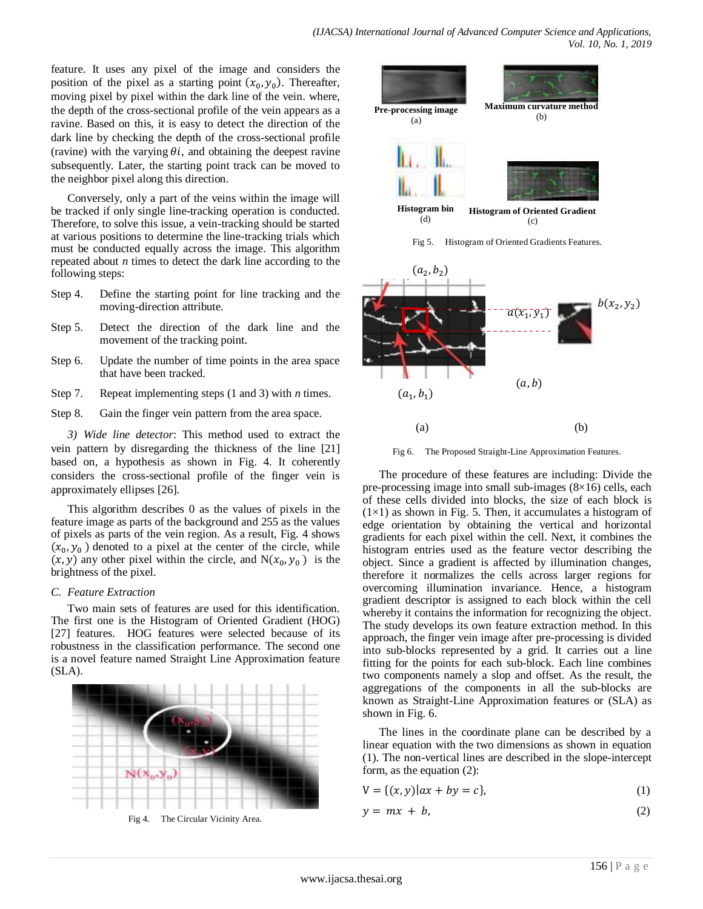feature. It uses any pixel of the image and considers the position of the pixel as a starting point  $(x_0, y_0)$ . Thereafter, moving pixel by pixel within the dark line of the vein. where, the depth of the cross-sectional profile of the vein appears as a ravine. Based on this, it is easy to detect the direction of the dark line by checking the depth of the cross-sectional profile (ravine) with the varying  $\theta i$ , and obtaining the deepest ravine subsequently. Later, the starting point track can be moved to the neighbor pixel along this direction.

Conversely, only a part of the veins within the image will be tracked if only single line-tracking operation is conducted. Therefore, to solve this issue, a vein-tracking should be started at various positions to determine the line-tracking trials which must be conducted equally across the image. This algorithm repeated about *n* times to detect the dark line according to the following steps:

- Step 4. Define the starting point for line tracking and the moving-direction attribute.
- Step 5. Detect the direction of the dark line and the movement of the tracking point.
- Step 6. Update the number of time points in the area space that have been tracked.
- Step 7. Repeat implementing steps (1 and 3) with *n* times.
- Step 8. Gain the finger vein pattern from the area space.

*3) Wide line detector*: This method used to extract the vein pattern by disregarding the thickness of the line [21] based on, a hypothesis as shown in Fig. 4. It coherently considers the cross-sectional profile of the finger vein is approximately ellipses [26].

This algorithm describes 0 as the values of pixels in the feature image as parts of the background and 255 as the values of pixels as parts of the vein region. As a result, Fig. 4 shows  $(x_0, y_0)$  denoted to a pixel at the center of the circle, while  $(x, y)$  any other pixel within the circle, and  $N(x_0, y_0)$  is the brightness of the pixel.

#### *C. Feature Extraction*

Two main sets of features are used for this identification. The first one is the Histogram of Oriented Gradient (HOG) [27] features. HOG features were selected because of its robustness in the classification performance. The second one is a novel feature named Straight Line Approximation feature  $(SLA)$ .



Fig 4. The Circular Vicinity Area.



Fig 5. Histogram of Oriented Gradients Features.



Fig 6. The Proposed Straight-Line Approximation Features.

The procedure of these features are including: Divide the pre-processing image into small sub-images (8×16) cells, each of these cells divided into blocks, the size of each block is  $(1\times1)$  as shown in Fig. 5. Then, it accumulates a histogram of edge orientation by obtaining the vertical and horizontal gradients for each pixel within the cell. Next, it combines the histogram entries used as the feature vector describing the object. Since a gradient is affected by illumination changes, therefore it normalizes the cells across larger regions for overcoming illumination invariance. Hence, a histogram gradient descriptor is assigned to each block within the cell whereby it contains the information for recognizing the object. The study develops its own feature extraction method. In this approach, the finger vein image after pre-processing is divided into sub-blocks represented by a grid. It carries out a line fitting for the points for each sub-block. Each line combines two components namely a slop and offset. As the result, the aggregations of the components in all the sub-blocks are known as Straight-Line Approximation features or (SLA) as shown in Fig. 6.

The lines in the coordinate plane can be described by a linear equation with the two dimensions as shown in equation (1). The non-vertical lines are described in the slope-intercept form, as the equation (2):

$$
V = \{(x, y) | ax + by = c\},\tag{1}
$$

$$
y = mx + b,\tag{2}
$$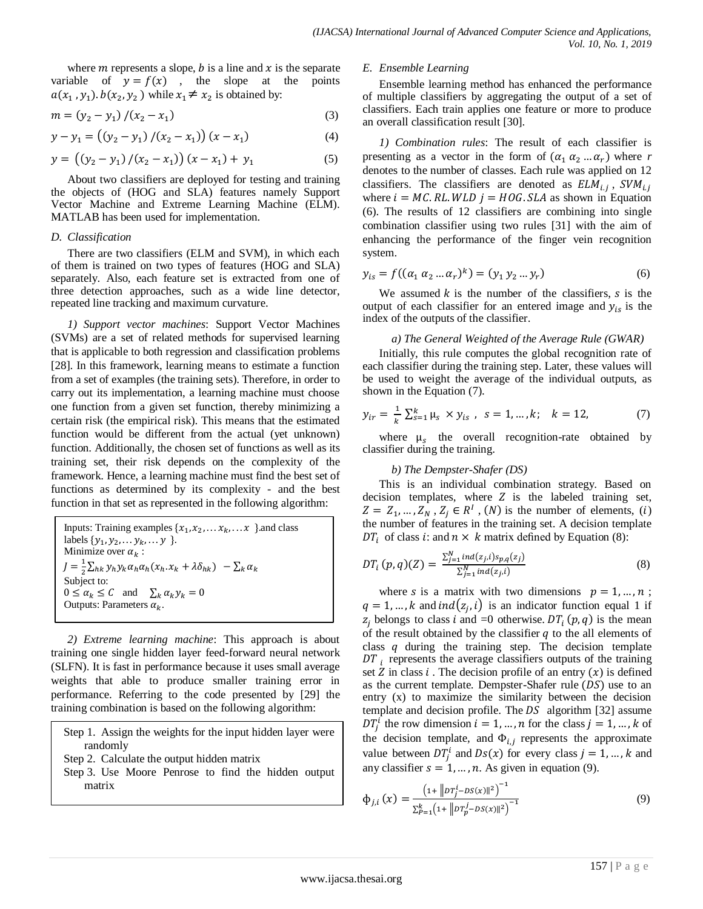where  $m$  represents a slope,  $b$  is a line and  $x$  is the separate variable of  $y = f(x)$ , the slope at the points  $a(x_1, y_1)$ .  $b(x_2, y_2)$  while  $x_1 \neq x_2$  is obtained by:

$$
m = (y_2 - y_1) / (x_2 - x_1)
$$
 (3)

$$
y - y_1 = ((y_2 - y_1) / (x_2 - x_1)) (x - x_1)
$$
 (4)

$$
y = ((y_2 - y_1) / (x_2 - x_1)) (x - x_1) + y_1
$$
 (5)

About two classifiers are deployed for testing and training the objects of (HOG and SLA) features namely Support Vector Machine and Extreme Learning Machine (ELM). MATLAB has been used for implementation.

#### *D. Classification*

There are two classifiers (ELM and SVM), in which each of them is trained on two types of features (HOG and SLA) separately. Also, each feature set is extracted from one of three detection approaches, such as a wide line detector, repeated line tracking and maximum curvature.

*1) Support vector machines*: Support Vector Machines (SVMs) are a set of related methods for supervised learning that is applicable to both regression and classification problems [28]. In this framework, learning means to estimate a function from a set of examples (the training sets). Therefore, in order to carry out its implementation, a learning machine must choose one function from a given set function, thereby minimizing a certain risk (the empirical risk). This means that the estimated function would be different from the actual (yet unknown) function. Additionally, the chosen set of functions as well as its training set, their risk depends on the complexity of the framework. Hence, a learning machine must find the best set of functions as determined by its complexity - and the best function in that set as represented in the following algorithm:

Inputs: Training examples  $\{x_1, x_2, \dots x_k, \dots x\}$  and class labels  $\{y_1, y_2, \ldots y_k, \ldots y\}$ . Minimize over  $\alpha_k$ :  $I=\frac{1}{2}$  $\frac{1}{2}\sum_{hk}y_h y_k \alpha_h \alpha_h (x_h.x_k + \lambda \delta_{hk}) - \sum_k \alpha_k$ Subject to:  $0 \le \alpha_k \le C$  and  $\sum_k \alpha_k y_k = 0$ Outputs: Parameters  $\alpha_k$ .

*2) Extreme learning machine*: This approach is about training one single hidden layer feed-forward neural network (SLFN). It is fast in performance because it uses small average weights that able to produce smaller training error in performance. Referring to the code presented by [29] the training combination is based on the following algorithm:

Step 1. Assign the weights for the input hidden layer were randomly

- Step 2. Calculate the output hidden matrix
- Step 3. Use Moore Penrose to find the hidden output matrix

#### *E. Ensemble Learning*

Ensemble learning method has enhanced the performance of multiple classifiers by aggregating the output of a set of classifiers. Each train applies one feature or more to produce an overall classification result [30].

*1) Combination rules*: The result of each classifier is presenting as a vector in the form of  $(\alpha_1 \alpha_2 ... \alpha_r)$  where *r* denotes to the number of classes. Each rule was applied on 12 classifiers. The classifiers are denoted as  $ELM_{i,j}$ , S where  $i = MC$ . RL. WLD  $j = HOG$ . SLA as shown in Equation (6). The results of 12 classifiers are combining into single combination classifier using two rules [31] with the aim of enhancing the performance of the finger vein recognition system.

$$
y_{is} = f((\alpha_1 \alpha_2 ... \alpha_r)^k) = (y_1 \ y_2 ... y_r)
$$
 (6)

We assumed  $k$  is the number of the classifiers,  $s$  is the output of each classifier for an entered image and  $y_{is}$  is the index of the outputs of the classifier.

#### *a) The General Weighted of the Average Rule (GWAR)*

Initially, this rule computes the global recognition rate of each classifier during the training step. Later, these values will be used to weight the average of the individual outputs, as shown in the Equation (7).

$$
y_{ir} = \frac{1}{k} \sum_{s=1}^{k} \mu_s \times y_{is} , \quad s = 1, ..., k; \quad k = 12,
$$
 (7)

where  $\mu_s$  the overall recognition-rate obtained by classifier during the training.

#### *b) The Dempster-Shafer (DS)*

This is an individual combination strategy. Based on decision templates, where  $Z$  is the labeled training set,  $Z = Z_1, ..., Z_N$ ,  $Z_j \in R^I$ ,  $(N)$  is the number of elements,  $(i)$ the number of features in the training set. A decision template  $DT_i$  of class *i*: and  $n \times k$  matrix defined by Equation (8):

$$
DT_i(p,q)(Z) = \frac{\sum_{j=1}^{N} ind(z_j, i) s_{p,q}(z_j)}{\sum_{j=1}^{N} ind(z_j, i)}
$$
(8)

where s is a matrix with two dimensions  $p = 1, ..., n$ ;  $q = 1, ..., k$  and ind $(z_i, i)$  is an indicator function equal 1 if  $z_i$  belongs to class i and =0 otherwise.  $DT_i(p,q)$  is the mean of the result obtained by the classifier  $q$  to the all elements of class  $q$  during the training step. The decision template  $DT_i$  represents the average classifiers outputs of the training set Z in class i. The decision profile of an entry  $(x)$  is defined as the current template. Dempster-Shafer rule  $(DS)$  use to an entry (x) to maximize the similarity between the decision template and decision profile. The  $DS$  algorithm [32] assume  $DT_i^i$  the row dimension  $i = 1, ..., n$  for the class  $j = 1, ..., k$  of the decision template, and  $\Phi_{i,i}$  represents the approximate value between  $DT_i^i$  and  $Ds(x)$  for every class  $j = 1, ..., k$  and any classifier  $s = 1, ..., n$ . As given in equation (9).

$$
\Phi_{j,i}\left(x\right) = \frac{\left(1 + \left\|p\tau_j^i - DS(x)\right\|^2\right)^{-1}}{\sum_{P=1}^k \left(1 + \left\|p\tau_p^j - DS(x)\right\|^2\right)^{-1}}\tag{9}
$$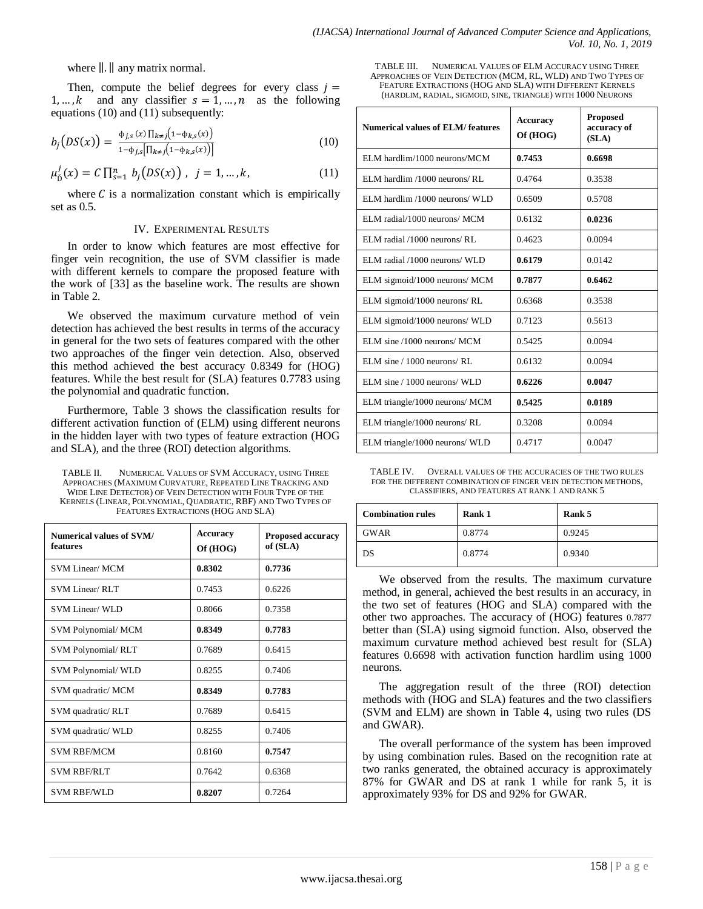where  $\| \cdot \|$  any matrix normal.

Then, compute the belief degrees for every class  $j =$ 1, ..., k and any classifier  $s = 1, ..., n$  as the following equations (10) and (11) subsequently:

$$
b_j\big(DS(x)\big) = \frac{\Phi_{j,s}\left(x\right)\prod_{k\neq j}\left(1-\Phi_{k,s}(x)\right)}{1-\Phi_{j,s}\left[\prod_{k\neq j}\left(1-\Phi_{k,s}(x)\right)\right]}
$$
(10)

$$
\mu_{\tilde{D}}^j(x) = C \prod_{s=1}^n b_j(DS(x)), \quad j = 1, \dots, k,
$$
\n(11)

where  $C$  is a normalization constant which is empirically set as 0.5.

#### IV. EXPERIMENTAL RESULTS

In order to know which features are most effective for finger vein recognition, the use of SVM classifier is made with different kernels to compare the proposed feature with the work of [33] as the baseline work. The results are shown in Table 2.

We observed the maximum curvature method of vein detection has achieved the best results in terms of the accuracy in general for the two sets of features compared with the other two approaches of the finger vein detection. Also, observed this method achieved the best accuracy 0.8349 for (HOG) features. While the best result for (SLA) features 0.7783 using the polynomial and quadratic function.

Furthermore, Table 3 shows the classification results for different activation function of (ELM) using different neurons in the hidden layer with two types of feature extraction (HOG and SLA), and the three (ROI) detection algorithms.

TABLE II. NUMERICAL VALUES OF SVM ACCURACY, USING THREE APPROACHES (MAXIMUM CURVATURE, REPEATED LINE TRACKING AND WIDE LINE DETECTOR) OF VEIN DETECTION WITH FOUR TYPE OF THE KERNELS (LINEAR, POLYNOMIAL, QUADRATIC, RBF) AND TWO TYPES OF FEATURES EXTRACTIONS (HOG AND SLA)

| Numerical values of SVM/<br>features | Accuracy<br>Of (HOG) | <b>Proposed accuracy</b><br>of (SLA) |
|--------------------------------------|----------------------|--------------------------------------|
| <b>SVM Linear/ MCM</b>               | 0.8302               | 0.7736                               |
| <b>SVM Linear/RLT</b>                | 0.7453               | 0.6226                               |
| SVM Linear/ WLD                      | 0.8066               | 0.7358                               |
| <b>SVM Polynomial/ MCM</b>           | 0.8349               | 0.7783                               |
| <b>SVM Polynomial/RLT</b>            | 0.7689               | 0.6415                               |
| <b>SVM Polynomial/ WLD</b>           | 0.8255               | 0.7406                               |
| SVM quadratic/ MCM                   | 0.8349               | 0.7783                               |
| SVM quadratic/RLT                    | 0.7689               | 0.6415                               |
| SVM quadratic/ WLD                   | 0.8255               | 0.7406                               |
| <b>SVM RBF/MCM</b>                   | 0.8160               | 0.7547                               |
| <b>SVM RBF/RLT</b>                   | 0.7642               | 0.6368                               |
| <b>SVM RBF/WLD</b>                   | 0.8207               | 0.7264                               |

TABLE III. NUMERICAL VALUES OF ELM ACCURACY USING THREE APPROACHES OF VEIN DETECTION (MCM, RL, WLD) AND TWO TYPES OF FEATURE EXTRACTIONS (HOG AND SLA) WITH DIFFERENT KERNELS (HARDLIM, RADIAL, SIGMOID, SINE, TRIANGLE) WITH 1000 NEURONS

| <b>Numerical values of ELM/features</b> | <b>Accuracy</b><br>Of (HOG) | <b>Proposed</b><br>accuracy of<br>(SLA) |
|-----------------------------------------|-----------------------------|-----------------------------------------|
| ELM hardlim/1000 neurons/MCM            | 0.7453                      | 0.6698                                  |
| ELM hardlim /1000 neurons/ RL           | 0.4764                      | 0.3538                                  |
| ELM hardlim /1000 neurons/ WLD          | 0.6509                      | 0.5708                                  |
| ELM radial/1000 neurons/ MCM            | 0.6132                      | 0.0236                                  |
| ELM radial /1000 neurons/ RL            | 0.4623                      | 0.0094                                  |
| ELM radial /1000 neurons/ WLD           | 0.6179                      | 0.0142                                  |
| ELM sigmoid/1000 neurons/ MCM           | 0.7877                      | 0.6462                                  |
| ELM sigmoid/1000 neurons/RL             | 0.6368                      | 0.3538                                  |
| ELM sigmoid/1000 neurons/ WLD           | 0.7123                      | 0.5613                                  |
| ELM sine /1000 neurons/ MCM             | 0.5425                      | 0.0094                                  |
| ELM sine / 1000 neurons/ RL             | 0.6132                      | 0.0094                                  |
| ELM sine / 1000 neurons/ WLD            | 0.6226                      | 0.0047                                  |
| ELM triangle/1000 neurons/ MCM          | 0.5425                      | 0.0189                                  |
| ELM triangle/1000 neurons/ RL           | 0.3208                      | 0.0094                                  |
| ELM triangle/1000 neurons/ WLD          | 0.4717                      | 0.0047                                  |

TABLE IV. OVERALL VALUES OF THE ACCURACIES OF THE TWO RULES FOR THE DIFFERENT COMBINATION OF FINGER VEIN DETECTION METHODS, CLASSIFIERS, AND FEATURES AT RANK 1 AND RANK 5

| <b>Combination rules</b> | <b>Rank 1</b> | Rank 5 |
|--------------------------|---------------|--------|
| <b>GWAR</b>              | 0.8774        | 0.9245 |
| DS                       | 0.8774        | 0.9340 |

We observed from the results. The maximum curvature method, in general, achieved the best results in an accuracy, in the two set of features (HOG and SLA) compared with the other two approaches. The accuracy of (HOG) features 0.7877 better than (SLA) using sigmoid function. Also, observed the maximum curvature method achieved best result for (SLA) features 0.6698 with activation function hardlim using 1000 neurons.

The aggregation result of the three (ROI) detection methods with (HOG and SLA) features and the two classifiers (SVM and ELM) are shown in Table 4, using two rules (DS and GWAR).

The overall performance of the system has been improved by using combination rules. Based on the recognition rate at two ranks generated, the obtained accuracy is approximately 87% for GWAR and DS at rank 1 while for rank 5, it is approximately 93% for DS and 92% for GWAR.